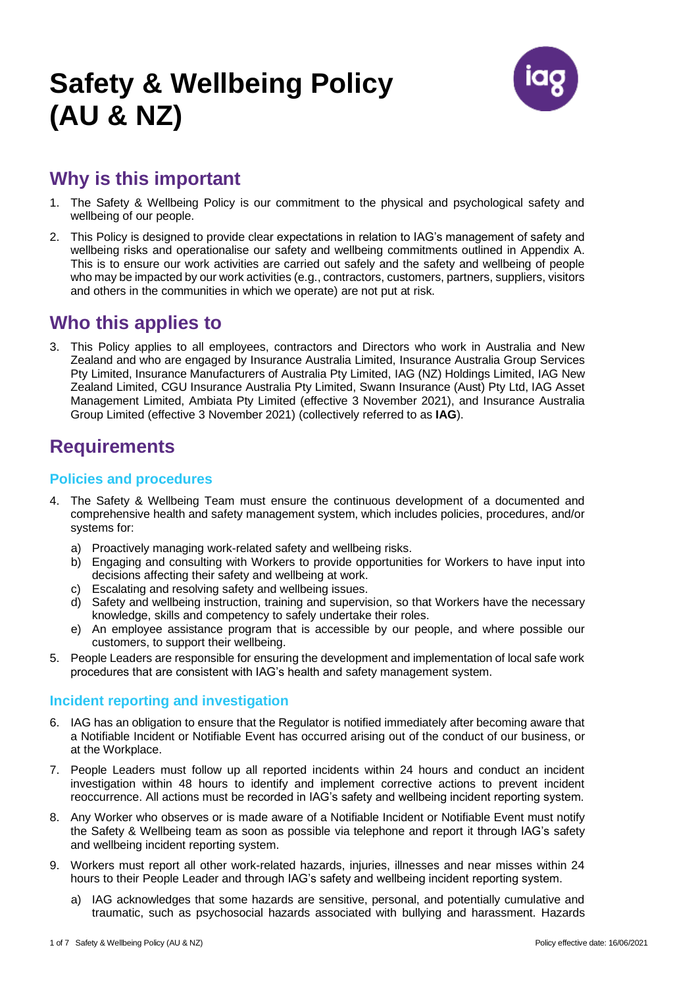# **Safety & Wellbeing Policy (AU & NZ)**



### **Why is this important**

- 1. The Safety & Wellbeing Policy is our commitment to the physical and psychological safety and wellbeing of our people.
- 2. This Policy is designed to provide clear expectations in relation to IAG's management of safety and wellbeing risks and operationalise our safety and wellbeing commitments outlined in Appendix A. This is to ensure our work activities are carried out safely and the safety and wellbeing of people who may be impacted by our work activities (e.g., contractors, customers, partners, suppliers, visitors and others in the communities in which we operate) are not put at risk.

### **Who this applies to**

3. This Policy applies to all employees, contractors and Directors who work in Australia and New Zealand and who are engaged by Insurance Australia Limited, Insurance Australia Group Services Pty Limited, Insurance Manufacturers of Australia Pty Limited, IAG (NZ) Holdings Limited, IAG New Zealand Limited, CGU Insurance Australia Pty Limited, Swann Insurance (Aust) Pty Ltd, IAG Asset Management Limited, Ambiata Pty Limited (effective 3 November 2021), and Insurance Australia Group Limited (effective 3 November 2021) (collectively referred to as **IAG**).

### **Requirements**

#### **Policies and procedures**

- 4. The Safety & Wellbeing Team must ensure the continuous development of a documented and comprehensive health and safety management system, which includes policies, procedures, and/or systems for:
	- a) Proactively managing work-related safety and wellbeing risks.
	- b) Engaging and consulting with Workers to provide opportunities for Workers to have input into decisions affecting their safety and wellbeing at work.
	- c) Escalating and resolving safety and wellbeing issues.
	- d) Safety and wellbeing instruction, training and supervision, so that Workers have the necessary knowledge, skills and competency to safely undertake their roles.
	- e) An employee assistance program that is accessible by our people, and where possible our customers, to support their wellbeing.
- 5. People Leaders are responsible for ensuring the development and implementation of local safe work procedures that are consistent with IAG's health and safety management system.

#### **Incident reporting and investigation**

- 6. IAG has an obligation to ensure that the Regulator is notified immediately after becoming aware that a Notifiable Incident or Notifiable Event has occurred arising out of the conduct of our business, or at the Workplace.
- 7. People Leaders must follow up all reported incidents within 24 hours and conduct an incident investigation within 48 hours to identify and implement corrective actions to prevent incident reoccurrence. All actions must be recorded in IAG's safety and wellbeing incident reporting system.
- 8. Any Worker who observes or is made aware of a Notifiable Incident or Notifiable Event must notify the Safety & Wellbeing team as soon as possible via telephone and report it through IAG's safety and wellbeing incident reporting system.
- 9. Workers must report all other work-related hazards, injuries, illnesses and near misses within 24 hours to their People Leader and through IAG's safety and wellbeing incident reporting system.
	- a) IAG acknowledges that some hazards are sensitive, personal, and potentially cumulative and traumatic, such as psychosocial hazards associated with bullying and harassment. Hazards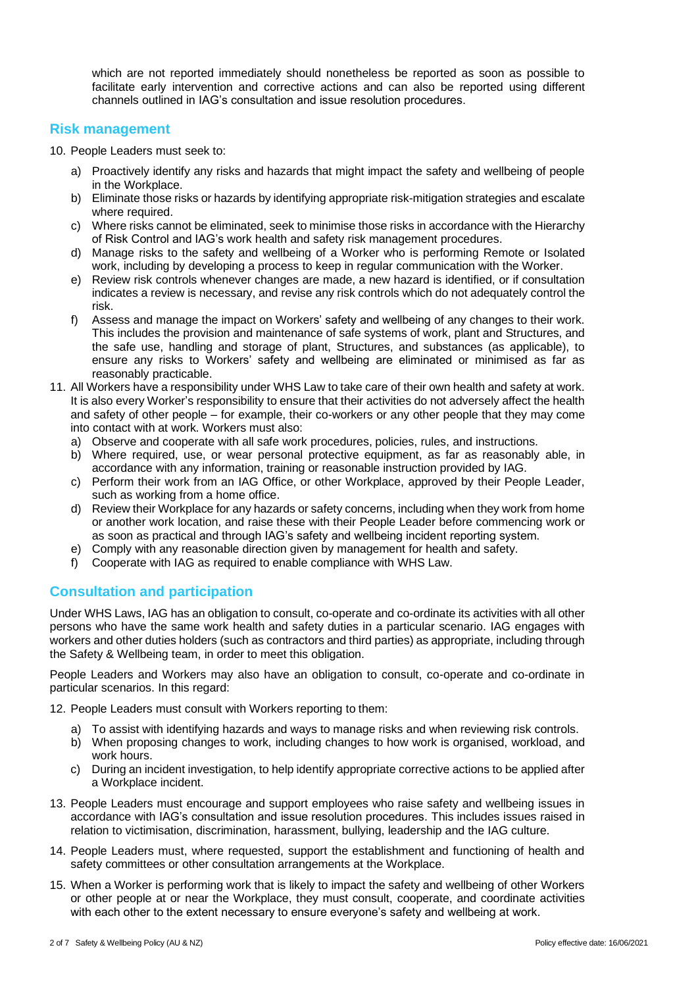which are not reported immediately should nonetheless be reported as soon as possible to facilitate early intervention and corrective actions and can also be reported using different channels outlined in IAG's consultation and issue resolution procedures.

#### **Risk management**

10. People Leaders must seek to:

- a) Proactively identify any risks and hazards that might impact the safety and wellbeing of people in the Workplace.
- b) Eliminate those risks or hazards by identifying appropriate risk-mitigation strategies and escalate where required.
- c) Where risks cannot be eliminated, seek to minimise those risks in accordance with the Hierarchy of Risk Control and IAG's work health and safety risk management procedures.
- d) Manage risks to the safety and wellbeing of a Worker who is performing Remote or Isolated work, including by developing a process to keep in regular communication with the Worker.
- e) Review risk controls whenever changes are made, a new hazard is identified, or if consultation indicates a review is necessary, and revise any risk controls which do not adequately control the risk.
- f) Assess and manage the impact on Workers' safety and wellbeing of any changes to their work. This includes the provision and maintenance of safe systems of work, plant and Structures, and the safe use, handling and storage of plant, Structures, and substances (as applicable), to ensure any risks to Workers' safety and wellbeing are eliminated or minimised as far as reasonably practicable.
- 11. All Workers have a responsibility under WHS Law to take care of their own health and safety at work. It is also every Worker's responsibility to ensure that their activities do not adversely affect the health and safety of other people – for example, their co-workers or any other people that they may come into contact with at work. Workers must also:
	- a) Observe and cooperate with all safe work procedures, policies, rules, and instructions.
	- b) Where required, use, or wear personal protective equipment, as far as reasonably able, in accordance with any information, training or reasonable instruction provided by IAG.
	- c) Perform their work from an IAG Office, or other Workplace, approved by their People Leader, such as working from a home office.
	- d) Review their Workplace for any hazards or safety concerns, including when they work from home or another work location, and raise these with their People Leader before commencing work or as soon as practical and through IAG's safety and wellbeing incident reporting system.
	- e) Comply with any reasonable direction given by management for health and safety.
	- f) Cooperate with IAG as required to enable compliance with WHS Law.

#### **Consultation and participation**

Under WHS Laws, IAG has an obligation to consult, co-operate and co-ordinate its activities with all other persons who have the same work health and safety duties in a particular scenario. IAG engages with workers and other duties holders (such as contractors and third parties) as appropriate, including through the Safety & Wellbeing team, in order to meet this obligation.

People Leaders and Workers may also have an obligation to consult, co-operate and co-ordinate in particular scenarios. In this regard:

12. People Leaders must consult with Workers reporting to them:

- a) To assist with identifying hazards and ways to manage risks and when reviewing risk controls.
- b) When proposing changes to work, including changes to how work is organised, workload, and work hours.
- c) During an incident investigation, to help identify appropriate corrective actions to be applied after a Workplace incident.
- 13. People Leaders must encourage and support employees who raise safety and wellbeing issues in accordance with IAG's consultation and issue resolution procedures. This includes issues raised in relation to victimisation, discrimination, harassment, bullying, leadership and the IAG culture.
- 14. People Leaders must, where requested, support the establishment and functioning of health and safety committees or other consultation arrangements at the Workplace.
- 15. When a Worker is performing work that is likely to impact the safety and wellbeing of other Workers or other people at or near the Workplace, they must consult, cooperate, and coordinate activities with each other to the extent necessary to ensure everyone's safety and wellbeing at work.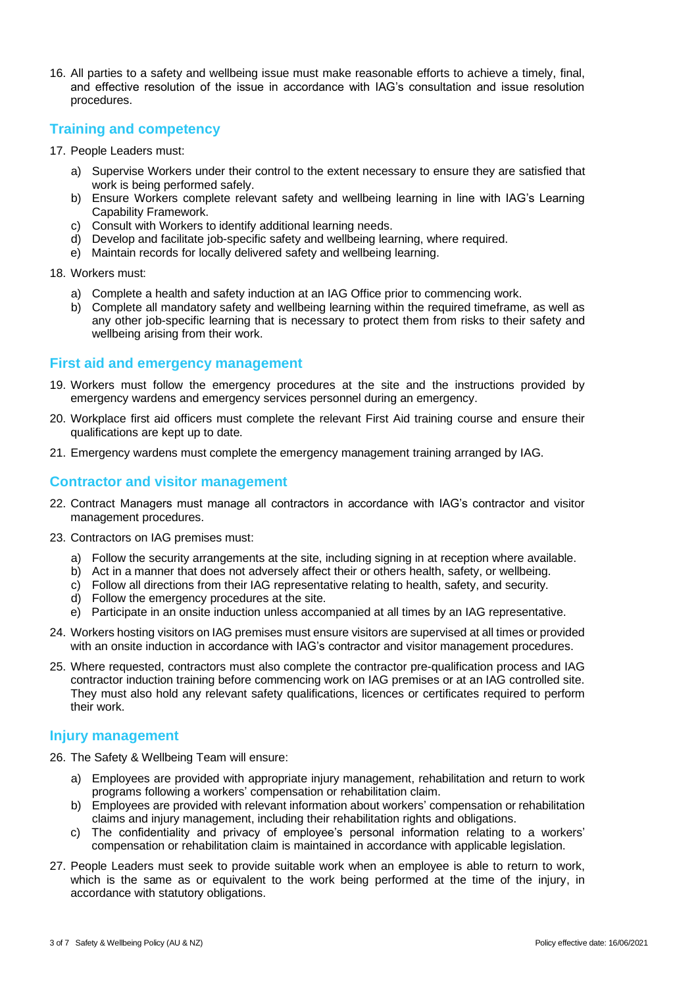16. All parties to a safety and wellbeing issue must make reasonable efforts to achieve a timely, final, and effective resolution of the issue in accordance with IAG's consultation and issue resolution procedures.

#### **Training and competency**

- 17. People Leaders must:
	- a) Supervise Workers under their control to the extent necessary to ensure they are satisfied that work is being performed safely.
	- b) Ensure Workers complete relevant safety and wellbeing learning in line with IAG's Learning Capability Framework.
	- c) Consult with Workers to identify additional learning needs.
	- d) Develop and facilitate job-specific safety and wellbeing learning, where required.
	- e) Maintain records for locally delivered safety and wellbeing learning.
- 18. Workers must:
	- a) Complete a health and safety induction at an IAG Office prior to commencing work.
	- b) Complete all mandatory safety and wellbeing learning within the required timeframe, as well as any other job-specific learning that is necessary to protect them from risks to their safety and wellbeing arising from their work.

#### **First aid and emergency management**

- 19. Workers must follow the emergency procedures at the site and the instructions provided by emergency wardens and emergency services personnel during an emergency.
- 20. Workplace first aid officers must complete the relevant First Aid training course and ensure their qualifications are kept up to date.
- 21. Emergency wardens must complete the emergency management training arranged by IAG.

#### **Contractor and visitor management**

- 22. Contract Managers must manage all contractors in accordance with IAG's contractor and visitor management procedures.
- 23. Contractors on IAG premises must:
	- a) Follow the security arrangements at the site, including signing in at reception where available.
	- b) Act in a manner that does not adversely affect their or others health, safety, or wellbeing.
	- c) Follow all directions from their IAG representative relating to health, safety, and security.
	- d) Follow the emergency procedures at the site.
	- e) Participate in an onsite induction unless accompanied at all times by an IAG representative.
- 24. Workers hosting visitors on IAG premises must ensure visitors are supervised at all times or provided with an onsite induction in accordance with IAG's contractor and visitor management procedures.
- 25. Where requested, contractors must also complete the contractor pre-qualification process and IAG contractor induction training before commencing work on IAG premises or at an IAG controlled site. They must also hold any relevant safety qualifications, licences or certificates required to perform their work.

#### **Injury management**

- 26. The Safety & Wellbeing Team will ensure:
	- a) Employees are provided with appropriate injury management, rehabilitation and return to work programs following a workers' compensation or rehabilitation claim.
	- b) Employees are provided with relevant information about workers' compensation or rehabilitation claims and injury management, including their rehabilitation rights and obligations.
	- c) The confidentiality and privacy of employee's personal information relating to a workers' compensation or rehabilitation claim is maintained in accordance with applicable legislation.
- 27. People Leaders must seek to provide suitable work when an employee is able to return to work, which is the same as or equivalent to the work being performed at the time of the injury, in accordance with statutory obligations.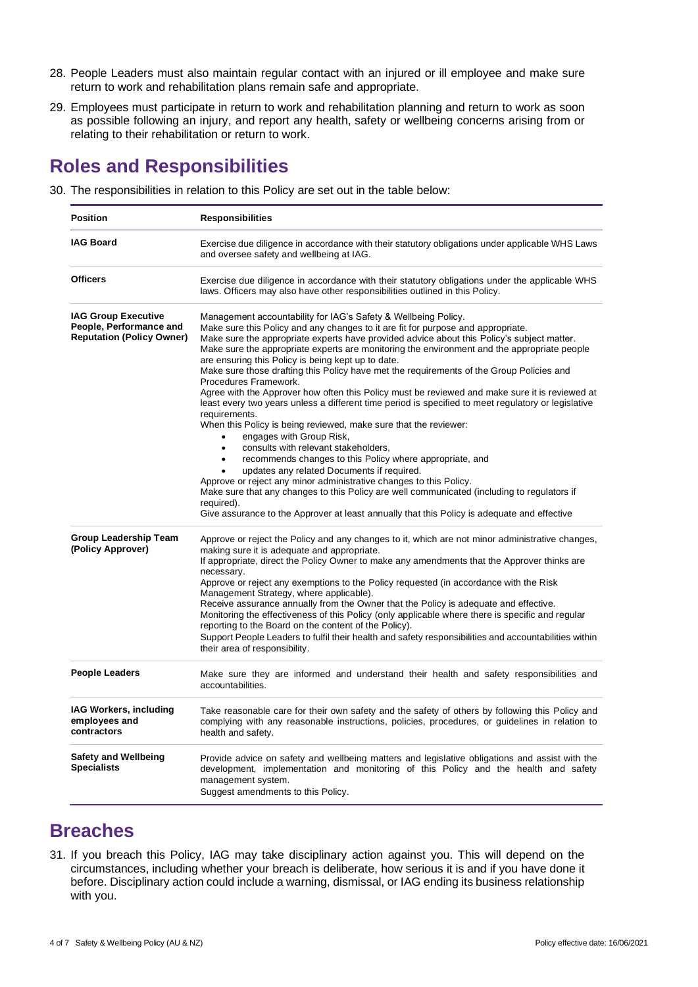- 28. People Leaders must also maintain regular contact with an injured or ill employee and make sure return to work and rehabilitation plans remain safe and appropriate.
- 29. Employees must participate in return to work and rehabilitation planning and return to work as soon as possible following an injury, and report any health, safety or wellbeing concerns arising from or relating to their rehabilitation or return to work.

### **Roles and Responsibilities**

30. The responsibilities in relation to this Policy are set out in the table below:

| <b>Position</b>                                                                           | <b>Responsibilities</b>                                                                                                                                                                                                                                                                                                                                                                                                                                                                                                                                                                                                                                                                                                                                                                                                                                                                                                                                                                                                                                                                                                                                                                                                                                                                                            |  |  |
|-------------------------------------------------------------------------------------------|--------------------------------------------------------------------------------------------------------------------------------------------------------------------------------------------------------------------------------------------------------------------------------------------------------------------------------------------------------------------------------------------------------------------------------------------------------------------------------------------------------------------------------------------------------------------------------------------------------------------------------------------------------------------------------------------------------------------------------------------------------------------------------------------------------------------------------------------------------------------------------------------------------------------------------------------------------------------------------------------------------------------------------------------------------------------------------------------------------------------------------------------------------------------------------------------------------------------------------------------------------------------------------------------------------------------|--|--|
| <b>IAG Board</b>                                                                          | Exercise due diligence in accordance with their statutory obligations under applicable WHS Laws<br>and oversee safety and wellbeing at IAG.                                                                                                                                                                                                                                                                                                                                                                                                                                                                                                                                                                                                                                                                                                                                                                                                                                                                                                                                                                                                                                                                                                                                                                        |  |  |
| <b>Officers</b>                                                                           | Exercise due diligence in accordance with their statutory obligations under the applicable WHS<br>laws. Officers may also have other responsibilities outlined in this Policy.                                                                                                                                                                                                                                                                                                                                                                                                                                                                                                                                                                                                                                                                                                                                                                                                                                                                                                                                                                                                                                                                                                                                     |  |  |
| <b>IAG Group Executive</b><br>People, Performance and<br><b>Reputation (Policy Owner)</b> | Management accountability for IAG's Safety & Wellbeing Policy.<br>Make sure this Policy and any changes to it are fit for purpose and appropriate.<br>Make sure the appropriate experts have provided advice about this Policy's subject matter.<br>Make sure the appropriate experts are monitoring the environment and the appropriate people<br>are ensuring this Policy is being kept up to date.<br>Make sure those drafting this Policy have met the requirements of the Group Policies and<br>Procedures Framework.<br>Agree with the Approver how often this Policy must be reviewed and make sure it is reviewed at<br>least every two years unless a different time period is specified to meet regulatory or legislative<br>requirements.<br>When this Policy is being reviewed, make sure that the reviewer:<br>engages with Group Risk,<br>consults with relevant stakeholders,<br>$\bullet$<br>recommends changes to this Policy where appropriate, and<br>$\bullet$<br>updates any related Documents if required.<br>Approve or reject any minor administrative changes to this Policy.<br>Make sure that any changes to this Policy are well communicated (including to regulators if<br>required).<br>Give assurance to the Approver at least annually that this Policy is adequate and effective |  |  |
| <b>Group Leadership Team</b><br>(Policy Approver)                                         | Approve or reject the Policy and any changes to it, which are not minor administrative changes,<br>making sure it is adequate and appropriate.<br>If appropriate, direct the Policy Owner to make any amendments that the Approver thinks are<br>necessary.<br>Approve or reject any exemptions to the Policy requested (in accordance with the Risk<br>Management Strategy, where applicable).<br>Receive assurance annually from the Owner that the Policy is adequate and effective.<br>Monitoring the effectiveness of this Policy (only applicable where there is specific and regular<br>reporting to the Board on the content of the Policy).<br>Support People Leaders to fulfil their health and safety responsibilities and accountabilities within<br>their area of responsibility.                                                                                                                                                                                                                                                                                                                                                                                                                                                                                                                     |  |  |
| <b>People Leaders</b>                                                                     | Make sure they are informed and understand their health and safety responsibilities and<br>accountabilities.                                                                                                                                                                                                                                                                                                                                                                                                                                                                                                                                                                                                                                                                                                                                                                                                                                                                                                                                                                                                                                                                                                                                                                                                       |  |  |
| IAG Workers, including<br>employees and<br>contractors                                    | Take reasonable care for their own safety and the safety of others by following this Policy and<br>complying with any reasonable instructions, policies, procedures, or guidelines in relation to<br>health and safety.                                                                                                                                                                                                                                                                                                                                                                                                                                                                                                                                                                                                                                                                                                                                                                                                                                                                                                                                                                                                                                                                                            |  |  |
| <b>Safety and Wellbeing</b><br><b>Specialists</b>                                         | Provide advice on safety and wellbeing matters and legislative obligations and assist with the<br>development, implementation and monitoring of this Policy and the health and safety<br>management system.<br>Suggest amendments to this Policy.                                                                                                                                                                                                                                                                                                                                                                                                                                                                                                                                                                                                                                                                                                                                                                                                                                                                                                                                                                                                                                                                  |  |  |

### **Breaches**

31. If you breach this Policy, IAG may take disciplinary action against you. This will depend on the circumstances, including whether your breach is deliberate, how serious it is and if you have done it before. Disciplinary action could include a warning, dismissal, or IAG ending its business relationship with you.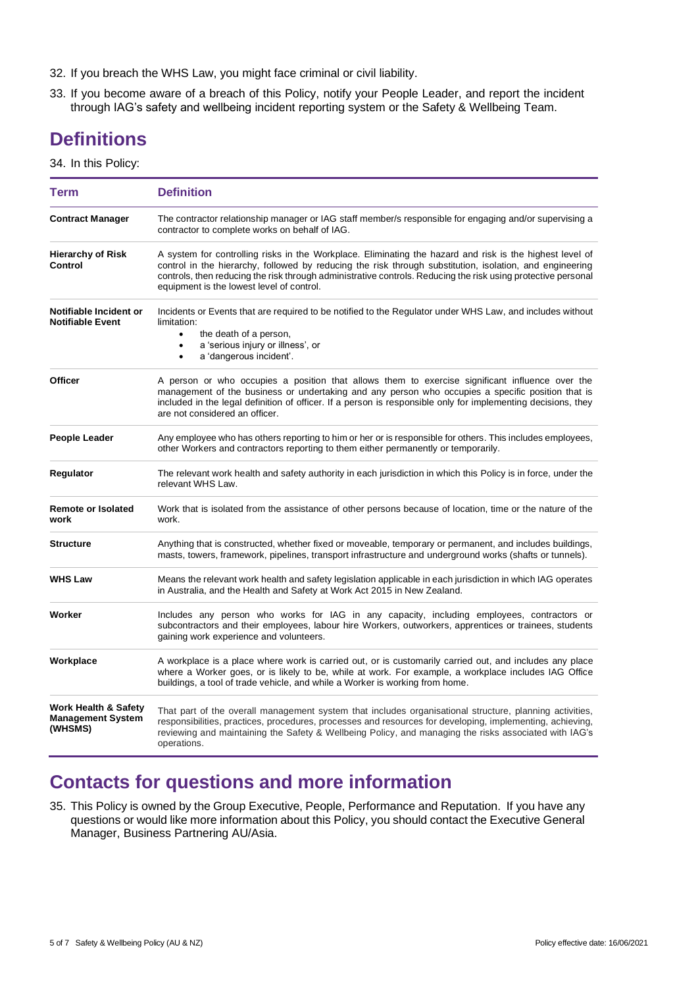- 32. If you breach the WHS Law, you might face criminal or civil liability.
- 33. If you become aware of a breach of this Policy, notify your People Leader, and report the incident through IAG's safety and wellbeing incident reporting system or the Safety & Wellbeing Team.

### **Definitions**

34. In this Policy:

| <b>Term</b>                                                            | <b>Definition</b>                                                                                                                                                                                                                                                                                                                                                                  |  |  |
|------------------------------------------------------------------------|------------------------------------------------------------------------------------------------------------------------------------------------------------------------------------------------------------------------------------------------------------------------------------------------------------------------------------------------------------------------------------|--|--|
| <b>Contract Manager</b>                                                | The contractor relationship manager or IAG staff member/s responsible for engaging and/or supervising a<br>contractor to complete works on behalf of IAG.                                                                                                                                                                                                                          |  |  |
| <b>Hierarchy of Risk</b><br>Control                                    | A system for controlling risks in the Workplace. Eliminating the hazard and risk is the highest level of<br>control in the hierarchy, followed by reducing the risk through substitution, isolation, and engineering<br>controls, then reducing the risk through administrative controls. Reducing the risk using protective personal<br>equipment is the lowest level of control. |  |  |
| Notifiable Incident or<br><b>Notifiable Event</b>                      | Incidents or Events that are required to be notified to the Regulator under WHS Law, and includes without<br>limitation:<br>the death of a person,<br>$\bullet$<br>a 'serious injury or illness', or<br>$\bullet$<br>a 'dangerous incident'.<br>$\bullet$                                                                                                                          |  |  |
| <b>Officer</b>                                                         | A person or who occupies a position that allows them to exercise significant influence over the<br>management of the business or undertaking and any person who occupies a specific position that is<br>included in the legal definition of officer. If a person is responsible only for implementing decisions, they<br>are not considered an officer.                            |  |  |
| <b>People Leader</b>                                                   | Any employee who has others reporting to him or her or is responsible for others. This includes employees,<br>other Workers and contractors reporting to them either permanently or temporarily.                                                                                                                                                                                   |  |  |
| Regulator                                                              | The relevant work health and safety authority in each jurisdiction in which this Policy is in force, under the<br>relevant WHS Law.                                                                                                                                                                                                                                                |  |  |
| <b>Remote or Isolated</b><br>work                                      | Work that is isolated from the assistance of other persons because of location, time or the nature of the<br>work.                                                                                                                                                                                                                                                                 |  |  |
| <b>Structure</b>                                                       | Anything that is constructed, whether fixed or moveable, temporary or permanent, and includes buildings,<br>masts, towers, framework, pipelines, transport infrastructure and underground works (shafts or tunnels).                                                                                                                                                               |  |  |
| <b>WHS Law</b>                                                         | Means the relevant work health and safety legislation applicable in each jurisdiction in which IAG operates<br>in Australia, and the Health and Safety at Work Act 2015 in New Zealand.                                                                                                                                                                                            |  |  |
| Worker                                                                 | Includes any person who works for IAG in any capacity, including employees, contractors or<br>subcontractors and their employees, labour hire Workers, outworkers, apprentices or trainees, students<br>gaining work experience and volunteers.                                                                                                                                    |  |  |
| Workplace                                                              | A workplace is a place where work is carried out, or is customarily carried out, and includes any place<br>where a Worker goes, or is likely to be, while at work. For example, a workplace includes IAG Office<br>buildings, a tool of trade vehicle, and while a Worker is working from home.                                                                                    |  |  |
| <b>Work Health &amp; Safety</b><br><b>Management System</b><br>(WHSMS) | That part of the overall management system that includes organisational structure, planning activities,<br>responsibilities, practices, procedures, processes and resources for developing, implementing, achieving,<br>reviewing and maintaining the Safety & Wellbeing Policy, and managing the risks associated with IAG's<br>operations.                                       |  |  |

### **Contacts for questions and more information**

35. This Policy is owned by the Group Executive, People, Performance and Reputation. If you have any questions or would like more information about this Policy, you should contact the Executive General Manager, Business Partnering AU/Asia.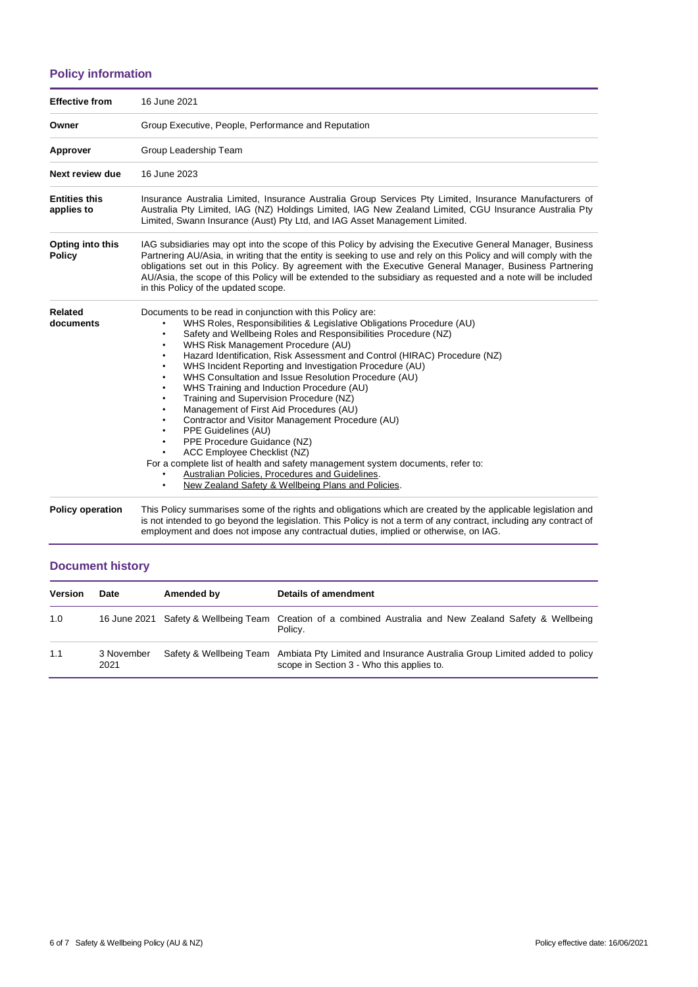#### **Policy information**

| <b>Effective from</b>              | 16 June 2021                                                                                                                                                                                                                                                                                                                                                                                                                                                                                                                                                                                                                                                                                                                                                                                                                                                                                                                                                                                         |  |  |  |
|------------------------------------|------------------------------------------------------------------------------------------------------------------------------------------------------------------------------------------------------------------------------------------------------------------------------------------------------------------------------------------------------------------------------------------------------------------------------------------------------------------------------------------------------------------------------------------------------------------------------------------------------------------------------------------------------------------------------------------------------------------------------------------------------------------------------------------------------------------------------------------------------------------------------------------------------------------------------------------------------------------------------------------------------|--|--|--|
| Owner                              | Group Executive, People, Performance and Reputation                                                                                                                                                                                                                                                                                                                                                                                                                                                                                                                                                                                                                                                                                                                                                                                                                                                                                                                                                  |  |  |  |
| Approver                           | Group Leadership Team                                                                                                                                                                                                                                                                                                                                                                                                                                                                                                                                                                                                                                                                                                                                                                                                                                                                                                                                                                                |  |  |  |
| Next review due                    | 16 June 2023                                                                                                                                                                                                                                                                                                                                                                                                                                                                                                                                                                                                                                                                                                                                                                                                                                                                                                                                                                                         |  |  |  |
| <b>Entities this</b><br>applies to | Insurance Australia Limited, Insurance Australia Group Services Pty Limited, Insurance Manufacturers of<br>Australia Pty Limited, IAG (NZ) Holdings Limited, IAG New Zealand Limited, CGU Insurance Australia Pty<br>Limited, Swann Insurance (Aust) Pty Ltd, and IAG Asset Management Limited.                                                                                                                                                                                                                                                                                                                                                                                                                                                                                                                                                                                                                                                                                                      |  |  |  |
| Opting into this<br><b>Policy</b>  | IAG subsidiaries may opt into the scope of this Policy by advising the Executive General Manager, Business<br>Partnering AU/Asia, in writing that the entity is seeking to use and rely on this Policy and will comply with the<br>obligations set out in this Policy. By agreement with the Executive General Manager, Business Partnering<br>AU/Asia, the scope of this Policy will be extended to the subsidiary as requested and a note will be included<br>in this Policy of the updated scope.                                                                                                                                                                                                                                                                                                                                                                                                                                                                                                 |  |  |  |
| Related<br>documents               | Documents to be read in conjunction with this Policy are:<br>WHS Roles, Responsibilities & Legislative Obligations Procedure (AU)<br>Safety and Wellbeing Roles and Responsibilities Procedure (NZ)<br>$\bullet$<br>WHS Risk Management Procedure (AU)<br>$\bullet$<br>Hazard Identification, Risk Assessment and Control (HIRAC) Procedure (NZ)<br>WHS Incident Reporting and Investigation Procedure (AU)<br>$\bullet$<br>WHS Consultation and Issue Resolution Procedure (AU)<br>٠<br>WHS Training and Induction Procedure (AU)<br>Training and Supervision Procedure (NZ)<br>Management of First Aid Procedures (AU)<br>Contractor and Visitor Management Procedure (AU)<br>PPE Guidelines (AU)<br>$\bullet$<br>PPE Procedure Guidance (NZ)<br>$\bullet$<br>ACC Employee Checklist (NZ)<br>For a complete list of health and safety management system documents, refer to:<br>Australian Policies, Procedures and Guidelines.<br>New Zealand Safety & Wellbeing Plans and Policies.<br>$\bullet$ |  |  |  |
| <b>Policy operation</b>            | This Policy summarises some of the rights and obligations which are created by the applicable legislation and<br>is not intended to go beyond the legislation. This Policy is not a term of any contract, including any contract of                                                                                                                                                                                                                                                                                                                                                                                                                                                                                                                                                                                                                                                                                                                                                                  |  |  |  |

employment and does not impose any contractual duties, implied or otherwise, on IAG.

#### **Document history**

| <b>Version</b> | Date               | Amended by | Details of amendment                                                                                                                           |
|----------------|--------------------|------------|------------------------------------------------------------------------------------------------------------------------------------------------|
| 1.0            |                    |            | 16 June 2021 Safety & Wellbeing Team Creation of a combined Australia and New Zealand Safety & Wellbeing<br>Policy.                            |
| 1.1            | 3 November<br>2021 |            | Safety & Wellbeing Team Ambiata Pty Limited and Insurance Australia Group Limited added to policy<br>scope in Section 3 - Who this applies to. |